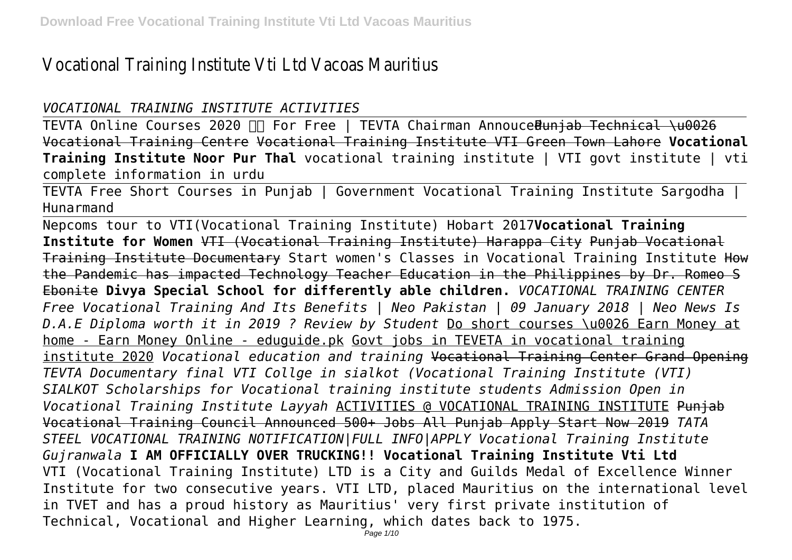# Vocational Training Institute Vti Ltd Vacoas Mauritius

### *VOCATIONAL TRAINING INSTITUTE ACTIVITIES*

TEVTA Online Courses 2020 For Free | TEVTA Chairman AnnoucedPunjab Technical \u0026 Vocational Training Centre Vocational Training Institute VTI Green Town Lahore **Vocational Training Institute Noor Pur Thal** vocational training institute | VTI govt institute | vti complete information in urdu

TEVTA Free Short Courses in Punjab | Government Vocational Training Institute Sargodha | Hunarmand

Nepcoms tour to VTI(Vocational Training Institute) Hobart 2017**Vocational Training Institute for Women** VTI (Vocational Training Institute) Harappa City Punjab Vocational Training Institute Documentary Start women's Classes in Vocational Training Institute How the Pandemic has impacted Technology Teacher Education in the Philippines by Dr. Romeo S Ebonite **Divya Special School for differently able children.** *VOCATIONAL TRAINING CENTER Free Vocational Training And Its Benefits | Neo Pakistan | 09 January 2018 | Neo News Is D.A.E Diploma worth it in 2019 ? Review by Student* Do short courses \u0026 Earn Money at home - Earn Money Online - eduguide.pk Govt jobs in TEVETA in vocational training institute 2020 *Vocational education and training* Vocational Training Center Grand Opening *TEVTA Documentary final VTI Collge in sialkot (Vocational Training Institute (VTI) SIALKOT Scholarships for Vocational training institute students Admission Open in Vocational Training Institute Layyah* ACTIVITIES @ VOCATIONAL TRAINING INSTITUTE Punjab Vocational Training Council Announced 500+ Jobs All Punjab Apply Start Now 2019 *TATA STEEL VOCATIONAL TRAINING NOTIFICATION|FULL INFO|APPLY Vocational Training Institute Gujranwala* **I AM OFFICIALLY OVER TRUCKING!! Vocational Training Institute Vti Ltd** VTI (Vocational Training Institute) LTD is a City and Guilds Medal of Excellence Winner Institute for two consecutive years. VTI LTD, placed Mauritius on the international level in TVET and has a proud history as Mauritius' very first private institution of Technical, Vocational and Higher Learning, which dates back to 1975.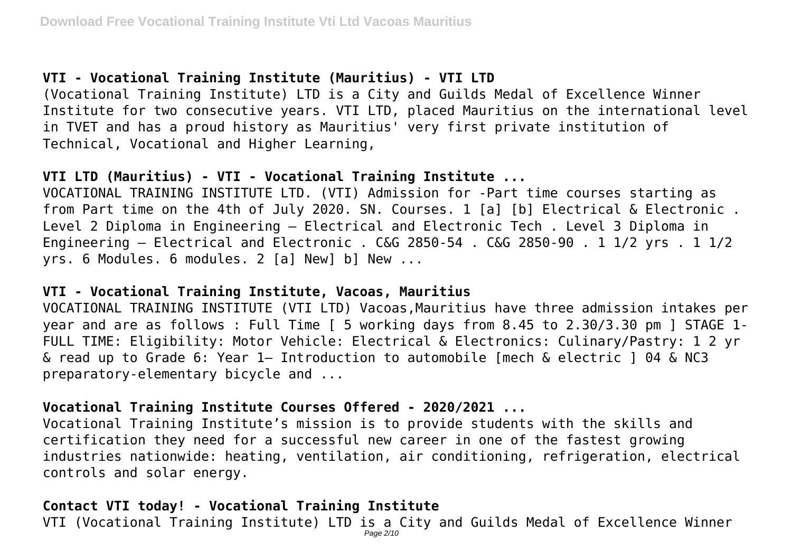## **VTI - Vocational Training Institute (Mauritius) - VTI LTD**

(Vocational Training Institute) LTD is a City and Guilds Medal of Excellence Winner Institute for two consecutive years. VTI LTD, placed Mauritius on the international level in TVET and has a proud history as Mauritius' very first private institution of Technical, Vocational and Higher Learning,

#### **VTI LTD (Mauritius) - VTI - Vocational Training Institute ...**

VOCATIONAL TRAINING INSTITUTE LTD. (VTI) Admission for -Part time courses starting as from Part time on the 4th of July 2020. SN. Courses. 1 [a] [b] Electrical & Electronic . Level 2 Diploma in Engineering – Electrical and Electronic Tech . Level 3 Diploma in Engineering – Electrical and Electronic . C&G 2850-54 . C&G 2850-90 . 1 1/2 yrs . 1 1/2 yrs. 6 Modules. 6 modules. 2 [a] New] b] New ...

#### **VTI - Vocational Training Institute, Vacoas, Mauritius**

VOCATIONAL TRAINING INSTITUTE (VTI LTD) Vacoas,Mauritius have three admission intakes per year and are as follows : Full Time [ 5 working days from 8.45 to 2.30/3.30 pm ] STAGE 1- FULL TIME: Eligibility: Motor Vehicle: Electrical & Electronics: Culinary/Pastry: 1 2 yr & read up to Grade 6: Year 1— Introduction to automobile [mech & electric ] 04 & NC3 preparatory-elementary bicycle and ...

#### **Vocational Training Institute Courses Offered - 2020/2021 ...**

Vocational Training Institute's mission is to provide students with the skills and certification they need for a successful new career in one of the fastest growing industries nationwide: heating, ventilation, air conditioning, refrigeration, electrical controls and solar energy.

### **Contact VTI today! - Vocational Training Institute**

VTI (Vocational Training Institute) LTD is a City and Guilds Medal of Excellence Winner Page 2/10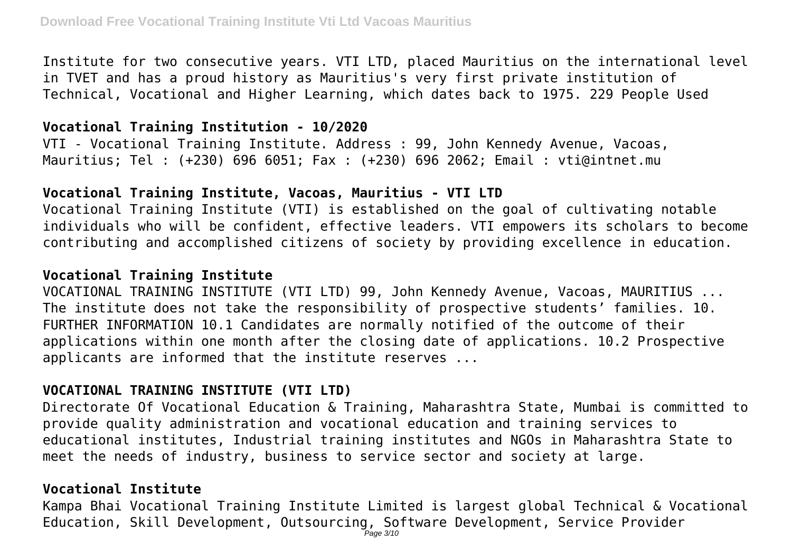Institute for two consecutive years. VTI LTD, placed Mauritius on the international level in TVET and has a proud history as Mauritius's very first private institution of Technical, Vocational and Higher Learning, which dates back to 1975. 229 People Used

#### **Vocational Training Institution - 10/2020**

VTI - Vocational Training Institute. Address : 99, John Kennedy Avenue, Vacoas, Mauritius; Tel : (+230) 696 6051; Fax : (+230) 696 2062; Email : vti@intnet.mu

#### **Vocational Training Institute, Vacoas, Mauritius - VTI LTD**

Vocational Training Institute (VTI) is established on the goal of cultivating notable individuals who will be confident, effective leaders. VTI empowers its scholars to become contributing and accomplished citizens of society by providing excellence in education.

### **Vocational Training Institute**

VOCATIONAL TRAINING INSTITUTE (VTI LTD) 99, John Kennedy Avenue, Vacoas, MAURITIUS ... The institute does not take the responsibility of prospective students' families. 10. FURTHER INFORMATION 10.1 Candidates are normally notified of the outcome of their applications within one month after the closing date of applications. 10.2 Prospective applicants are informed that the institute reserves ...

## **VOCATIONAL TRAINING INSTITUTE (VTI LTD)**

Directorate Of Vocational Education & Training, Maharashtra State, Mumbai is committed to provide quality administration and vocational education and training services to educational institutes, Industrial training institutes and NGOs in Maharashtra State to meet the needs of industry, business to service sector and society at large.

#### **Vocational Institute**

Kampa Bhai Vocational Training Institute Limited is largest global Technical & Vocational Education, Skill Development, Outsourcing, Software Development, Service Provider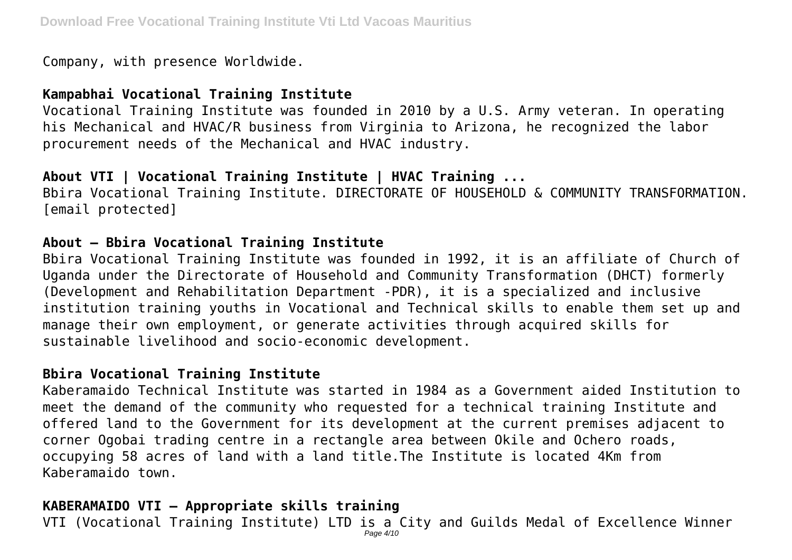Company, with presence Worldwide.

## **Kampabhai Vocational Training Institute**

Vocational Training Institute was founded in 2010 by a U.S. Army veteran. In operating his Mechanical and HVAC/R business from Virginia to Arizona, he recognized the labor procurement needs of the Mechanical and HVAC industry.

## **About VTI | Vocational Training Institute | HVAC Training ...**

Bbira Vocational Training Institute. DIRECTORATE OF HOUSEHOLD & COMMUNITY TRANSFORMATION. [email protected]

#### **About – Bbira Vocational Training Institute**

Bbira Vocational Training Institute was founded in 1992, it is an affiliate of Church of Uganda under the Directorate of Household and Community Transformation (DHCT) formerly (Development and Rehabilitation Department -PDR), it is a specialized and inclusive institution training youths in Vocational and Technical skills to enable them set up and manage their own employment, or generate activities through acquired skills for sustainable livelihood and socio-economic development.

### **Bbira Vocational Training Institute**

Kaberamaido Technical Institute was started in 1984 as a Government aided Institution to meet the demand of the community who requested for a technical training Institute and offered land to the Government for its development at the current premises adjacent to corner Ogobai trading centre in a rectangle area between Okile and Ochero roads, occupying 58 acres of land with a land title.The Institute is located 4Km from Kaberamaido town.

### **KABERAMAIDO VTI – Appropriate skills training**

VTI (Vocational Training Institute) LTD is a City and Guilds Medal of Excellence Winner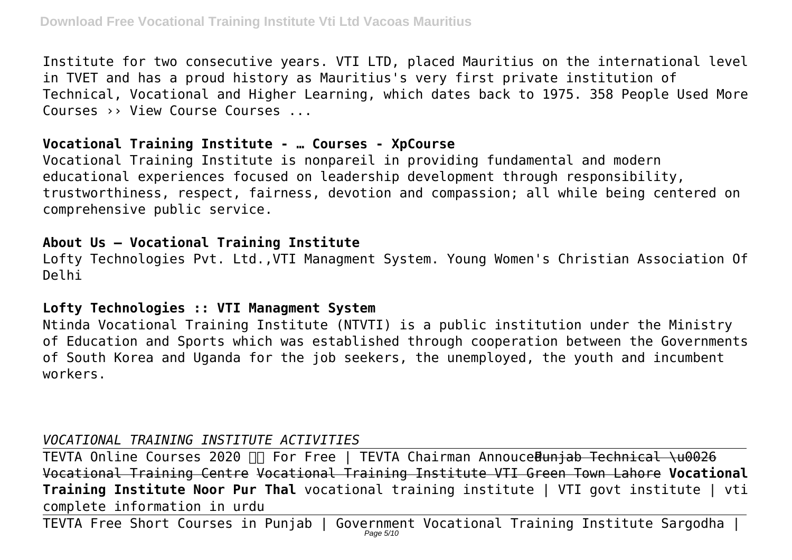Institute for two consecutive years. VTI LTD, placed Mauritius on the international level in TVET and has a proud history as Mauritius's very first private institution of Technical, Vocational and Higher Learning, which dates back to 1975. 358 People Used More Courses ›› View Course Courses ...

#### **Vocational Training Institute - … Courses - XpCourse**

Vocational Training Institute is nonpareil in providing fundamental and modern educational experiences focused on leadership development through responsibility, trustworthiness, respect, fairness, devotion and compassion; all while being centered on comprehensive public service.

#### **About Us – Vocational Training Institute**

Lofty Technologies Pvt. Ltd.,VTI Managment System. Young Women's Christian Association Of Delhi

### **Lofty Technologies :: VTI Managment System**

Ntinda Vocational Training Institute (NTVTI) is a public institution under the Ministry of Education and Sports which was established through cooperation between the Governments of South Korea and Uganda for the job seekers, the unemployed, the youth and incumbent workers.

## *VOCATIONAL TRAINING INSTITUTE ACTIVITIES*

TEVTA Online Courses 2020  $\Pi$  For Free | TEVTA Chairman Annouce Bunjab Technical \u0026 Vocational Training Centre Vocational Training Institute VTI Green Town Lahore **Vocational Training Institute Noor Pur Thal** vocational training institute | VTI govt institute | vti complete information in urdu

<code>TEVTA Free Short Courses in Punjab</code> | <code>Government Vocational Training Institute Sargodha |  $^{\prime}$ </code>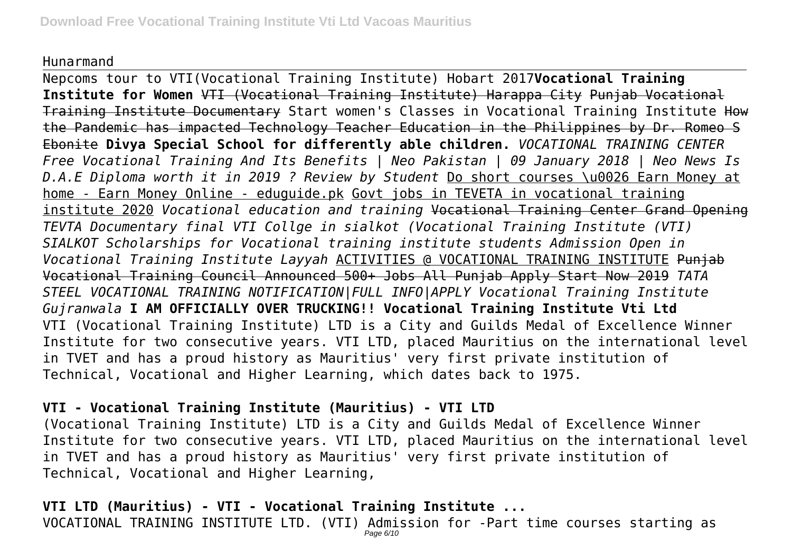#### Hunarmand

Nepcoms tour to VTI(Vocational Training Institute) Hobart 2017**Vocational Training Institute for Women** VTI (Vocational Training Institute) Harappa City Punjab Vocational Training Institute Documentary Start women's Classes in Vocational Training Institute How the Pandemic has impacted Technology Teacher Education in the Philippines by Dr. Romeo S Ebonite **Divya Special School for differently able children.** *VOCATIONAL TRAINING CENTER Free Vocational Training And Its Benefits | Neo Pakistan | 09 January 2018 | Neo News Is D.A.E Diploma worth it in 2019 ? Review by Student* Do short courses \u0026 Earn Money at home - Earn Money Online - eduguide.pk Govt jobs in TEVETA in vocational training institute 2020 *Vocational education and training* Vocational Training Center Grand Opening *TEVTA Documentary final VTI Collge in sialkot (Vocational Training Institute (VTI) SIALKOT Scholarships for Vocational training institute students Admission Open in Vocational Training Institute Layyah* ACTIVITIES @ VOCATIONAL TRAINING INSTITUTE Punjab Vocational Training Council Announced 500+ Jobs All Punjab Apply Start Now 2019 *TATA STEEL VOCATIONAL TRAINING NOTIFICATION|FULL INFO|APPLY Vocational Training Institute Gujranwala* **I AM OFFICIALLY OVER TRUCKING!! Vocational Training Institute Vti Ltd** VTI (Vocational Training Institute) LTD is a City and Guilds Medal of Excellence Winner Institute for two consecutive years. VTI LTD, placed Mauritius on the international level in TVET and has a proud history as Mauritius' very first private institution of Technical, Vocational and Higher Learning, which dates back to 1975.

## **VTI - Vocational Training Institute (Mauritius) - VTI LTD**

(Vocational Training Institute) LTD is a City and Guilds Medal of Excellence Winner Institute for two consecutive years. VTI LTD, placed Mauritius on the international level in TVET and has a proud history as Mauritius' very first private institution of Technical, Vocational and Higher Learning,

## **VTI LTD (Mauritius) - VTI - Vocational Training Institute ...** VOCATIONAL TRAINING INSTITUTE LTD. (VTI)  $\mathop{Adm} \limits_{\it Page\ 6/10}$  for -Part time courses starting as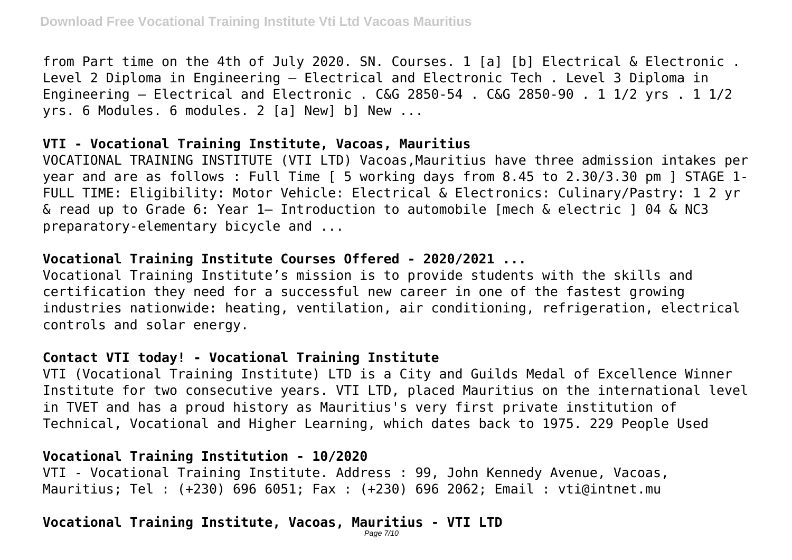from Part time on the 4th of July 2020. SN. Courses. 1 [a] [b] Electrical & Electronic . Level 2 Diploma in Engineering – Electrical and Electronic Tech . Level 3 Diploma in Engineering – Electrical and Electronic . C&G 2850-54 . C&G 2850-90 . 1 1/2 yrs . 1 1/2 yrs. 6 Modules. 6 modules. 2 [a] New] b] New ...

#### **VTI - Vocational Training Institute, Vacoas, Mauritius**

VOCATIONAL TRAINING INSTITUTE (VTI LTD) Vacoas,Mauritius have three admission intakes per year and are as follows : Full Time [ 5 working days from 8.45 to 2.30/3.30 pm ] STAGE 1- FULL TIME: Eligibility: Motor Vehicle: Electrical & Electronics: Culinary/Pastry: 1 2 yr & read up to Grade 6: Year 1— Introduction to automobile [mech & electric ] 04 & NC3 preparatory-elementary bicycle and ...

#### **Vocational Training Institute Courses Offered - 2020/2021 ...**

Vocational Training Institute's mission is to provide students with the skills and certification they need for a successful new career in one of the fastest growing industries nationwide: heating, ventilation, air conditioning, refrigeration, electrical controls and solar energy.

### **Contact VTI today! - Vocational Training Institute**

VTI (Vocational Training Institute) LTD is a City and Guilds Medal of Excellence Winner Institute for two consecutive years. VTI LTD, placed Mauritius on the international level in TVET and has a proud history as Mauritius's very first private institution of Technical, Vocational and Higher Learning, which dates back to 1975. 229 People Used

## **Vocational Training Institution - 10/2020**

VTI - Vocational Training Institute. Address : 99, John Kennedy Avenue, Vacoas, Mauritius; Tel : (+230) 696 6051; Fax : (+230) 696 2062; Email : vti@intnet.mu

## **Vocational Training Institute, Vacoas, Mauritius - VTI LTD**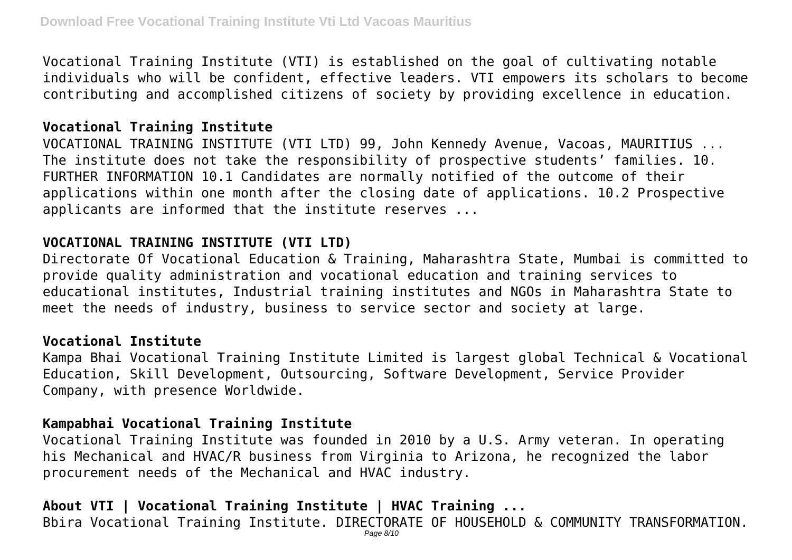Vocational Training Institute (VTI) is established on the goal of cultivating notable individuals who will be confident, effective leaders. VTI empowers its scholars to become contributing and accomplished citizens of society by providing excellence in education.

### **Vocational Training Institute**

VOCATIONAL TRAINING INSTITUTE (VTI LTD) 99, John Kennedy Avenue, Vacoas, MAURITIUS ... The institute does not take the responsibility of prospective students' families. 10. FURTHER INFORMATION 10.1 Candidates are normally notified of the outcome of their applications within one month after the closing date of applications. 10.2 Prospective applicants are informed that the institute reserves ...

#### **VOCATIONAL TRAINING INSTITUTE (VTI LTD)**

Directorate Of Vocational Education & Training, Maharashtra State, Mumbai is committed to provide quality administration and vocational education and training services to educational institutes, Industrial training institutes and NGOs in Maharashtra State to meet the needs of industry, business to service sector and society at large.

#### **Vocational Institute**

Kampa Bhai Vocational Training Institute Limited is largest global Technical & Vocational Education, Skill Development, Outsourcing, Software Development, Service Provider Company, with presence Worldwide.

### **Kampabhai Vocational Training Institute**

Vocational Training Institute was founded in 2010 by a U.S. Army veteran. In operating his Mechanical and HVAC/R business from Virginia to Arizona, he recognized the labor procurement needs of the Mechanical and HVAC industry.

## **About VTI | Vocational Training Institute | HVAC Training ...**

Bbira Vocational Training Institute. DIRECTORATE OF HOUSEHOLD & COMMUNITY TRANSFORMATION.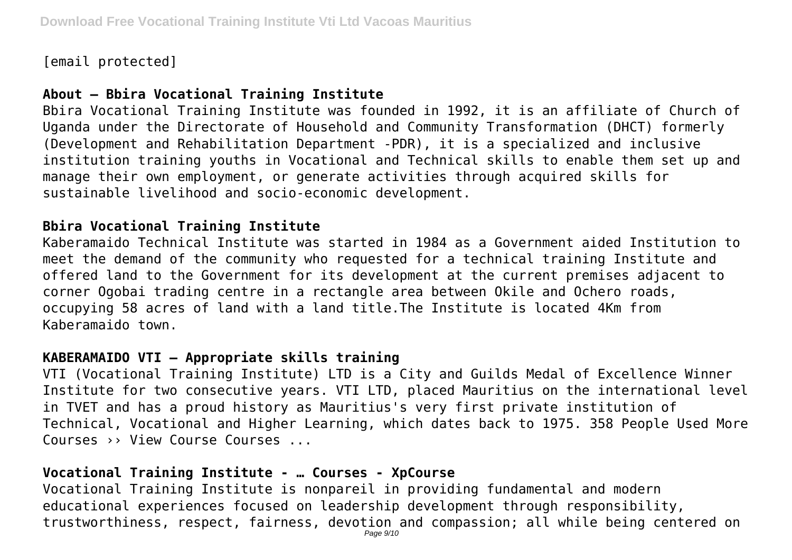[email protected]

## **About – Bbira Vocational Training Institute**

Bbira Vocational Training Institute was founded in 1992, it is an affiliate of Church of Uganda under the Directorate of Household and Community Transformation (DHCT) formerly (Development and Rehabilitation Department -PDR), it is a specialized and inclusive institution training youths in Vocational and Technical skills to enable them set up and manage their own employment, or generate activities through acquired skills for sustainable livelihood and socio-economic development.

### **Bbira Vocational Training Institute**

Kaberamaido Technical Institute was started in 1984 as a Government aided Institution to meet the demand of the community who requested for a technical training Institute and offered land to the Government for its development at the current premises adjacent to corner Ogobai trading centre in a rectangle area between Okile and Ochero roads, occupying 58 acres of land with a land title.The Institute is located 4Km from Kaberamaido town.

### **KABERAMAIDO VTI – Appropriate skills training**

VTI (Vocational Training Institute) LTD is a City and Guilds Medal of Excellence Winner Institute for two consecutive years. VTI LTD, placed Mauritius on the international level in TVET and has a proud history as Mauritius's very first private institution of Technical, Vocational and Higher Learning, which dates back to 1975. 358 People Used More Courses ›› View Course Courses ...

### **Vocational Training Institute - … Courses - XpCourse**

Vocational Training Institute is nonpareil in providing fundamental and modern educational experiences focused on leadership development through responsibility, trustworthiness, respect, fairness, devotion and compassion; all while being centered on